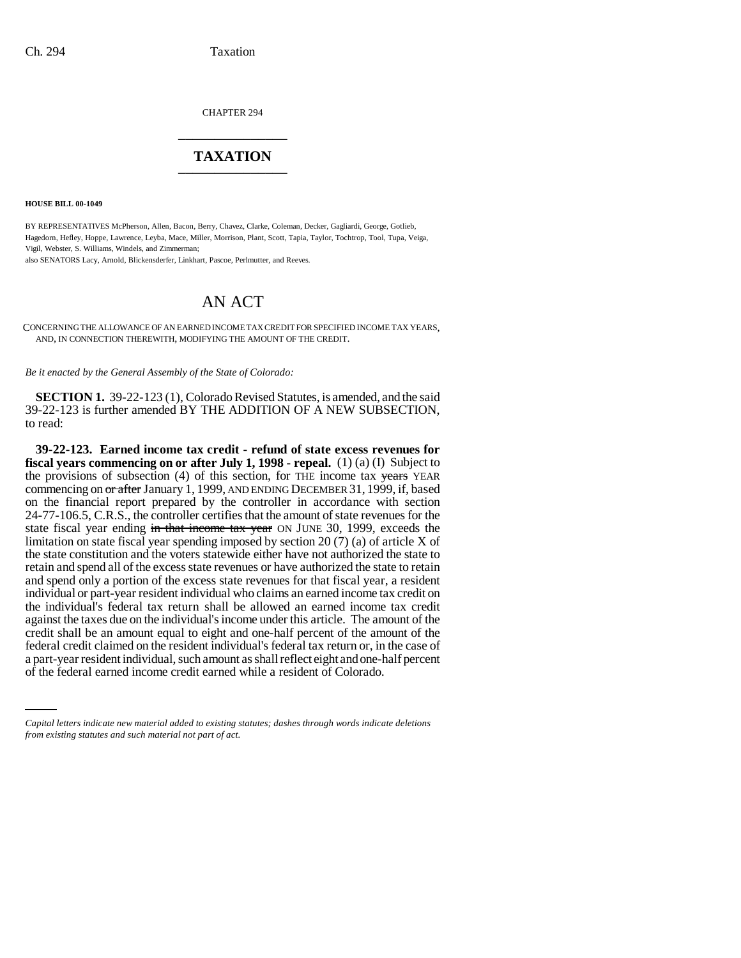CHAPTER 294 \_\_\_\_\_\_\_\_\_\_\_\_\_\_\_

## **TAXATION** \_\_\_\_\_\_\_\_\_\_\_\_\_\_\_

**HOUSE BILL 00-1049** 

BY REPRESENTATIVES McPherson, Allen, Bacon, Berry, Chavez, Clarke, Coleman, Decker, Gagliardi, George, Gotlieb, Hagedorn, Hefley, Hoppe, Lawrence, Leyba, Mace, Miller, Morrison, Plant, Scott, Tapia, Taylor, Tochtrop, Tool, Tupa, Veiga, Vigil, Webster, S. Williams, Windels, and Zimmerman;

also SENATORS Lacy, Arnold, Blickensderfer, Linkhart, Pascoe, Perlmutter, and Reeves.

## AN ACT

CONCERNING THE ALLOWANCE OF AN EARNED INCOME TAX CREDIT FOR SPECIFIED INCOME TAX YEARS, AND, IN CONNECTION THEREWITH, MODIFYING THE AMOUNT OF THE CREDIT.

*Be it enacted by the General Assembly of the State of Colorado:*

**SECTION 1.** 39-22-123 (1), Colorado Revised Statutes, is amended, and the said 39-22-123 is further amended BY THE ADDITION OF A NEW SUBSECTION, to read:

federal credit claimed on the resident individual's federal tax return or, in the case of **39-22-123. Earned income tax credit - refund of state excess revenues for fiscal years commencing on or after July 1, 1998 - repeal.** (1) (a) (I) Subject to the provisions of subsection  $(4)$  of this section, for THE income tax years YEAR commencing on or after January 1, 1999, AND ENDING DECEMBER 31, 1999, if, based on the financial report prepared by the controller in accordance with section 24-77-106.5, C.R.S., the controller certifies that the amount of state revenues for the state fiscal year ending in that income tax year ON JUNE 30, 1999, exceeds the limitation on state fiscal year spending imposed by section 20 (7) (a) of article X of the state constitution and the voters statewide either have not authorized the state to retain and spend all of the excess state revenues or have authorized the state to retain and spend only a portion of the excess state revenues for that fiscal year, a resident individual or part-year resident individual who claims an earned income tax credit on the individual's federal tax return shall be allowed an earned income tax credit against the taxes due on the individual's income under this article. The amount of the credit shall be an amount equal to eight and one-half percent of the amount of the a part-year resident individual, such amount as shall reflect eight and one-half percent of the federal earned income credit earned while a resident of Colorado.

*Capital letters indicate new material added to existing statutes; dashes through words indicate deletions from existing statutes and such material not part of act.*